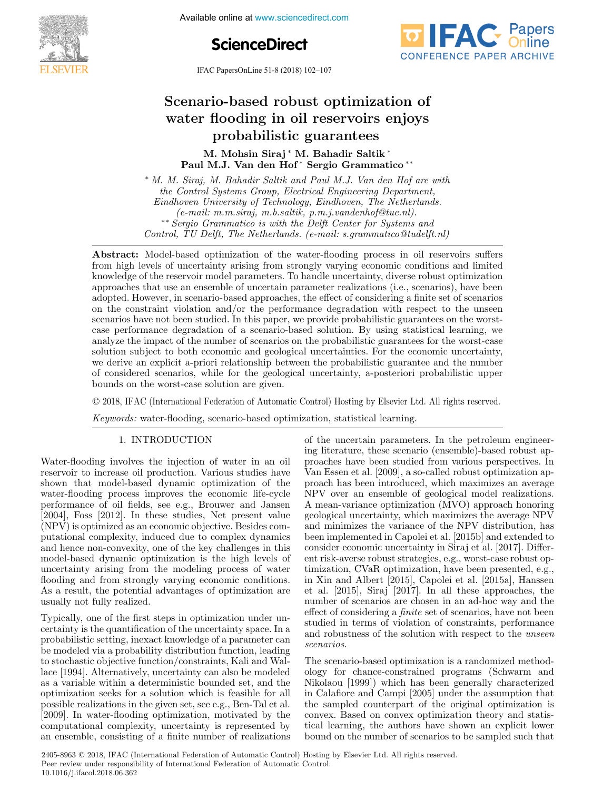

Available online at www.sciencedirect.com

**ScienceDirect**



IFAC PapersOnLine 51-8 (2018) 102–107 Scenario-based robust optimization of

#### Scenario-based robust optimization of flooding in oil reservoirs<br>Listic guarantees M. Mohsin Siraj ∗ M. Bahadir Saltik ∗ Scenario-based robust optimization of scenario-based robust optimization oi Scenario-based robust optimization of flooding in oil reservoirs m. Mohamini Siraj ali alitees Scenario-based robust optimization of Scenario-based robust optimization of water flooding in oil reservoirs enjoys water flooding in oil reservoirs enjoys probabilistic guarantees probabilistic guarantees

M. Mohsin Siraj\* M. Bahadir Saltik\* m. Mohsin Siraj ™. Bahadir Saltik<br>Paul M.J. Van den Hof\* Sergio Grammatico\*\*

∗ M. M. Siraj, M. Bahadir Saltik and Paul M.J. Van den Hof are with ∗ M. M. Siraj, M. Bahadir Saltik and Paul M.J. Van den Hof are with the Control Systems Group, Electrical Engineering Department, Eindhoven University of Technology, Eindhoven, The Netherlands.<br>  $\frac{d}{dt}$  $(e-mail: m.m.siraj, m.b.saltik, p.m.j.vandenhof@tue.nl).$ ∗∗ Sergio Grammatico is with the Delft Center for Systems and ∗∗ Sergio Grammatico is with the Delft Center for Systems and Control, TU Delft, The Netherlands. (e-mail: s.grammatico@tudelft.nl) ∗ M. M. Siraj, M. Bahadir Saltik and Paul M.J. Van den Hof are with the Control System Group, Electrical Engineering Department, Engineering Department, Department, Department, D  $e$ <sup>-</sup>mau: m.m.straj, m.o.sauuk, p.m.j.vanaennoj vue.ntj. Control, Tu Delft, Tu Delft, Tu Delft, Tu Delft, Tu Delft.nl, 1980.<br>Control, Tu Delft.nl, Netherlands. (e-mail: s.grammatical) ∗ M. M. Siraj, M. Bahadir Saltik and Paul M.J. Van den Hof are with the Control Systems Group, Electrical Engineering Department, ne Control Systems Group, Electrical Engineering Department,<br>Findhoven University of Technology Findhoven. The Netherlands Eindhoven University of Technology, Eindhoven, The Netherlands.<br>
(e-mail: m.m.siraj, m.b.saltik, p.m.j.vandenhof@tue.nl).<br>
\*\* Sergio Grammatico is with the Delft Center for Systems and control, TV Delft, The Netherlands. (e-mail: s.grammatico delality.nl)  $t$  and  $t$  Control Systems Group, Electrical Engineering Department  $\mathcal{L}$   $\mathcal{L}$  $\mathcal{C}$  and  $\mathcal{C}$  main the state in the periodic control of  $\mathcal{C}$  and  $\mathcal{C}$  and  $\mathcal{C}$  and  $\mathcal{C}$  and  $\mathcal{C}$  and  $\mathcal{C}$  and  $\mathcal{C}$  and  $\mathcal{C}$  and  $\mathcal{C}$  and  $\mathcal{C}$  and  $\mathcal{C}$  and  $\mathcal{C}$  and

from high levels of uncertainty arising from strongly varying economic conditions and limited knowledge of the reservoir model parameters. To handle uncertainty, diverse robust optimization<br>approaches that use an ensemble of uncertain parameter realizations (i.e., scenarios), have been<br>adopted However in scenario-b approaches that use an ensemble of uncertain parameter realizations (i.e., scenarios), have been approaches that use an ensemble of uncertain parameter realizations (i.e., scenarios), have been<br>adopted. However, in scenario-based approaches, the effect of considering a finite set of scenarios on the constraint violation and/or the performance degradation with respect to the unseen on the constraint violation and/or the performance degradation with respect to the unseen<br>scenarios have not been studied. In this paper, we provide probabilistic guarantees on the worstcase performance degradation of a scenario-based solution. By using statistical learning, we analyze the impact of the number of scenario states behavior. By along statistical relating, we<br>solution subject to both economic and geological uncertainties. For the economic uncertainty solution subject to both economic and geological uncertainties. For the economic uncertainty, we derive an explicit a-priori relationship between the probabilistic guarantee and the number of considered scenarios, while for the geological uncertainty, a-posteriori probabilistic upper<br>bounds on the worst-case solution are given. of considered scenarios, while for the geological uncertainty, a-posteriori probabilistic upper bounds on the worst-case solution are given. Abstract: Model-based optimization of the water-flooding process in oil reservoirs suffers bounds on the worst-case solution are given.

© 2018, IFAC (International Federation of Automatic Control) Hosting by Elsevier Ltd. All rights reserved.  $\in$  2010; in the  $($ mormational is declared of the compare control, holong  $\omega_j$  morter © 2018. IFAC (International Federation of Automatic Control) Hosting by Elsevier Ltd. All rights reserved.  $\otimes$  2018, if  $A\cup$  (international rederation or Automa

 $Keywords:$  water-flooding, scenario-based optimization, statistical learning.

#### 1. INTRODUCTION 1. INTRODUCTION 1. INTRODUCTION 1. INTRODUCTION 1. INTRODUCTION Keywords: water-flooding, scenario-based optimization, statistical learning.

Water-flooding involves the injection of water in an oil Water-flooding involves the injection of water in an oil reservoir to increase oil production. Various studies have reservoir to increase oil production. Various studies have shown that model-based dynamic optimization of the water-flooding process improves the economic life-cycle performance of oil fields, see e.g., Brouwer and Jansen performance of oil fields, see e.g., Brouwer and Jansen [2004], Foss [2012]. In these studies, Net present value [2004], Foss [2012]. In these studies, Net present value (NPV) is optimized as an economic objective. Besides computational complexity, induced due to complex dynamics putational complexity, induced due to complex dynamics putational complexity, mutted the to complex dynamics<br>and hence non-convexity, one of the key challenges in this and hence non-convexity, one of the key chaneliges in this<br>model-based dynamic optimization is the high levels of uncertainty arising from the modeling process of water flooding and from strongly varying economic conditions. As a result, the potential advantages of optimization are As a result, the potential advantages of optimization are usually not fully realized. usually not fully realized. Water-flooding involves the injection of water in an oil water-nooding involves the injection of water in an on<br>reservoir to increase oil production. Various studies have shown that model-based dynamic optimization of the shown that model-based dynamic optimization of the<br>water-flooding process improves the economic life-cycle water-flooding process improves the economic life-cycle<br>performance of oil fields, see e.g., Brouwer and Jansen<br>[2004], Foss [2012]. In these studies, Net present value performance of on fields, see e.g., Drouwer and Jansen<br>[2004], Foss [2012]. In these studies, Net present value  $(2004)$ ,  $\text{FOSs}$   $[2012]$ . In these studies, iver present value  $(x + y)$  is optimized as an economic objective. Desides computational complexity, induced due to complex dynamics model-based dynamic optimization is the mgn levels of flooding and flow strongly variety varying the distributions. performance of oil fields, see e.g., Brouwer and Jansen<br>[2004], Foss [2012]. In these studies, Net present value and hence non-convexity, one of the key challenges in this<br>model-based dynamic optimization is the high levels of<br>uncertainty arising from the modeling process of water<br>flooding and from strongly varying economic condition modeling and from strongly varying economic conditions. As a result, the potential advantages of optimization are

Typically, one of the first steps in optimization under un-Typically, one of the first steps in optimization under uncertainty is the quantification of the uncertainty space. In a probabilistic setting, inexact knowledge of a parameter can probabilistic setting, inexact knowledge of a parameter can be modeled via a probability distribution function, leading be modeled via a probability distribution function, leading to stochastic objective function/constraints, Kali and Wal-to stochastic objective function/constraints, Kali and Wal-lace [1994]. Alternatively, uncertainty can also be modeled to stochastic objective function/constraints, Kan and Wallace [1994]. Alternatively, uncertainty can also be modeled as a variable within a deterministic bounded set, and the as a variable within a deterministic bounded set, and the optimization seeks for a solution which is feasible for all optimization seeks for a solution which is feasible for all possible realizations in the given set, see e.g., Ben-Tal et al. possible realizations in the given set, see e.g., Ben-Tal et al. [2009]. In water-flooding optimization, motivated by the [2009]. In water-flooding optimization, motivated by the computational complexity, uncertainty is represented by<br>an ensemble, consisting of a finite number of realizations computational complexity, uncertainty is represented by<br>an ensemble, consisting of a finite number of realizations Typically, one of the first steps in optimization under un-Typically, one of the first steps in optimization under un-Typically, one of the first steps in optimization under unrypically, one of the first steps in optimization under uncertainty is the quantification of the uncertainty space. In a entainty is the quantification of the uncertainty space. In a<br>probabilistic setting, inexact knowledge of a parameter can probabilistic setting, mexact knowledge or a parameter can<br>have alabeled via a model little distribution function, leading to stochastic objective function (constraints, Kali and Wallace [1994]. Alternatively, uncertainty can also be modeled<br>as a variable within a deterministic bounded set, and the as a variable within a deterministic bounded set, and the<br>optimization seeks for a solution which is feasible for all optimization seeks for a solution which is reasible for all<br>possible realizations in the given set, see e.g., Ben-Tal et al. possible realizations in the given set, see e.g., ben-rai et al.<br>[2000]. In water-flooding optimization, motivated by the computational complexity, uncertainty is represented by probabilistic setting, inexact knowledge of a parameter can<br>be modeled via a probability distribution function, leading<br>Wal to stochastic objective function/constraints, Kali and Wal-to stochastic objective function/constraints, Kali and Wal-be modeled via a probability distribution function, leading possible realizations in the given set, see e.g., Ben-Tal et al.<br>[2009]. In water-flooding optimization, motivated by the [2009]. In water-hooding optimization, motivated by the<br>computational complexity, uncertainty is represented by Typically, one of the first  $\overline{a}$  finite number of a finite number of  $\overline{a}$ 

of the uncertain parameters. In the petroleum engineering literature, these scenario (ensemble)-based robust ap-ing literature, these scenario (ensemble)-based robust approaches have been studied from various perspectives. In proaches have been studied from various perspectives. In Van Essen et al. [2009], a so-called robust optimization ap-Van Essen et al. [2009], a so-called robust optimization approach has been introduced, which maximizes an average NPV over an ensemble of geological model realizations. NPV over an ensemble of geological model realizations. A mean-variance optimization (MVO) approach honoring<br>geological uncertainty, which maximizes the average NPV geological uncertainty, which maximizes the average NPV geological uncertainty, which maximizes the average NPV and minimizes the variance of the NPV distribution, has geological uncertainty, which maximizes the average NTV<br>and minimizes the variance of the NPV distribution, has been implemented in Capolei et al. [2015b] and extended to been implemented in Capolei et al. [2015b] and extended to consider economic uncertainty in Siraj et al. [2017]. Differ-consider economic uncertainty in Siraj et al. [2017]. Different risk-averse robust strategies, e.g., worst-case robust op-ent risk-averse robust strategies, e.g., worst-case robust optimization, CVaR optimization, have been presented, e.g.,  $\ldots$   $\ldots$   $\ldots$   $\ldots$   $\ldots$ in Xin and Albert [2015], Capolei et al. [2015a], Hanssen<br>et al. [2015], Siraj [2017]. In all these approaches, the et al.  $[2015]$ , Siraj  $[2017]$ . In all these approaches, the et al. [2010], sinaj [2011]. In an these approaches, the effect of considering a finite set of scenarios, have not been effect of considering a finite set of scenarios, have not been studied in terms of violation of constraints, performance studied in terms of violation of constraints, performance and robustness of the solution with respect to the *unseen*<br>scenarios. scenarios. scenarios. scenarios. scenarios. of the uncertain parameters. In the petroleum engineer-of the uncertain parameters. In the petroleum engineeror the uncertain parameters. In the petroleum engineer-<br>ing literature, these scenario (ensemble)-based robust aping interacture, these scenario (ensemble)-based robust ap-<br>proaches have been studied from various perspectives. In proaches have been studied from various perspectives. In<br>Van Essen et al. [2009], a so-called robust optimization apvan Essen et al. [2009], a so-called robust optimization ap-<br>proach has been introduced, which maximizes an average proach has been introduced, which maximizes an average A mean-variance optimization (MVO) approach honoring  $\frac{1}{2}$  and minimizes the variance of the NTV distribution, has been implemented in Capolei et al. [2015b] and extended to been implemented in Capolei et al. [2015b] and extended to<br>consider economic uncertainty in Siraj et al. [2017]. Different risk-averse robust strategies, e.g., worst-case robust opent risk-averse robust strategies, e.g., worst-case robust opnumber or scenarios are chosen in an au-noc way and the<br>effect of considering a *finite* set of scenarios, have not been effect of considering a *finite* set of scenarios, have not been studied in terms of the solution with respect to the unseen proach has been introduced, which maximizes an average<br>NPV over an ensemble of geological model realizations. NPV over an ensemble of geological model realizations.<br>A mean-variance optimization (MVO) approach honoring<br>realization uncertainty which maximizes the avenues NDV geological uncertainty, which maximizes the average NPV A mean-variance optimization (MVO) approach honoring economic uncertainty in original et al. [2017]. Different risk-averse robust strategies, e.g., worst-case robust opent risk-averse robust strategies, e.g., worst-case robust op-<br>timization, CVaR optimization, have been presented, e.g., timization, C vart optimization, have been presented, e.g., in Xin and Albert [2015], Capolei et al. [2015a], Hanssen In Am and Albert [2015], Capolei et al. [2015a], Hanssen<br>et al. [2015], Siraj [2017]. In all these approaches, the number of scenarios are chosen in an ad-hoc way and the<br>effect of considering a *finite* set of scenarios, have not been<br>studied in terms of violation of constraints, performance<br>and robustness of the solution with respect and robustness of the solution with respect to the *unseen* 1. INTRODUCTION of the metallicom of water in an oil die uncertainty is represented by realizations. In the petroleum engineer-<br>Secrections In production. Various studies have been studied from various perspectives. In<br>sh  $scenarios.$  $\Lambda$  mean reprieted and the interior  $(MUO)$  and average and average and interior  $(MUO)$  and average an average and average and average and average and average and average and average and average and average and average an ent its averse robust strategies, e.g., worst-case robust op- $\alpha$ <sub>b</sub>ustness of the solution with respect to the unsered unsered unsered unsered unsered unsered unsered unsered unsered unsered unsered unsered unsered unsered unsered unsered unsered unsered unsered unsered unsered un

The scenario-based optimization is a randomized method-The scenario-based optimization is a randomized method-<br>ology for chance-constrained programs (Schwarm and Nikolaou [1999]) which has been generally characterized Nikolaou [1999]) which has been generally characterized in Calafiore and Campi [2005] under the assumption that in Calafiore and Campi [2005] under the assumption that the sampled counterpart of the original optimization is the sampled counterpart of the original optimization is convex. Based on convex optimization theory and statisconvex. Based on convex optimization theory and statis-<br>tical learning, the authors have shown an explicit lower tical learning, the authors have shown an explicit lower tical learning, the authors have shown an explicit lower<br>bound on the number of scenarios to be sampled such that The scenario-based optimization is a randomized method-The scenario-based optimization is a randomized methodology for chance-constrained programs (Schwarm and<br>Nikolaou [1999]) which has been generally characterized in Calafiore and Campi [2005] under the assumption that the sampled counterpart of the original optimization is The scenario-based optimization is a randomized method-The scenario-based optimization is a randomized method-Nikolaou [1999]) which has been generally characterized<br>in Calafiore and Campi [2005] under the assumption that In Calafiore and Campi [2005] under the assumption that the sampled counterpart of the original optimization is the sampled counterpart of the original optimization is<br>convex. Based on convex optimization theory and statisconvex. Based on convex optimization theory and statis-<br>tical learning, the authors have shown an explicit lower The scena bound on the number of scenarios to be sampled such that  $\mathbf{r}$ convex on the number of accreains to be compled such that

2405-8963 © 2018, IFAC (International Federation of Automatic Control) Hosting by Elsevier Ltd. All rights reserved. Peer review under responsibility of International Federation of Automatic Control. 10.1016/j.ifacol.2018.06.362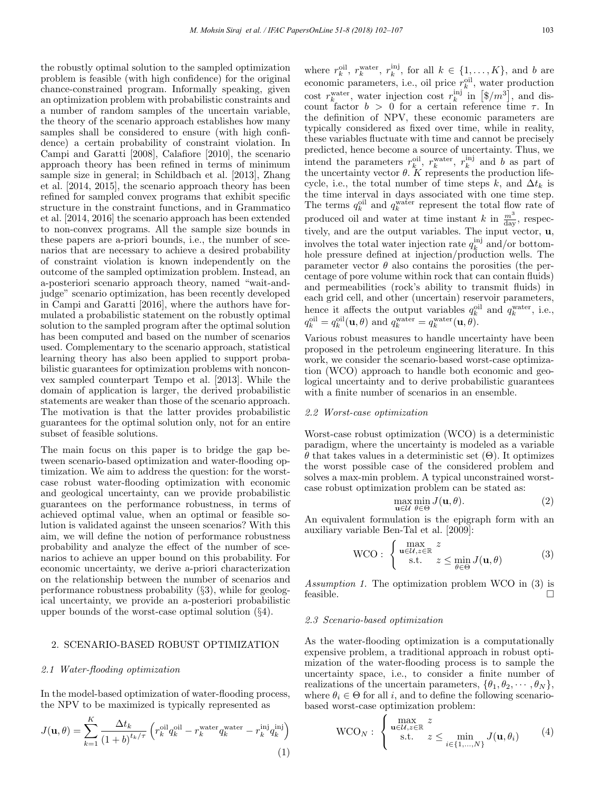the robustly optimal solution to the sampled optimization problem is feasible (with high confidence) for the original chance-constrained program. Informally speaking, given an optimization problem with probabilistic constraints and a number of random samples of the uncertain variable, the theory of the scenario approach establishes how many samples shall be considered to ensure (with high confidence) a certain probability of constraint violation. In Campi and Garatti [2008], Calafiore [2010], the scenario approach theory has been refined in terms of minimum sample size in general; in Schildbach et al. [2013], Zhang et al. [2014, 2015], the scenario approach theory has been refined for sampled convex programs that exhibit specific structure in the constraint functions, and in Grammatico et al. [2014, 2016] the scenario approach has been extended to non-convex programs. All the sample size bounds in these papers are a-priori bounds, i.e., the number of scenarios that are necessary to achieve a desired probability of constraint violation is known independently on the outcome of the sampled optimization problem. Instead, an a-posteriori scenario approach theory, named "wait-andjudge" scenario optimization, has been recently developed in Campi and Garatti [2016], where the authors have formulated a probabilistic statement on the robustly optimal solution to the sampled program after the optimal solution has been computed and based on the number of scenarios used. Complementary to the scenario approach, statistical learning theory has also been applied to support probabilistic guarantees for optimization problems with nonconvex sampled counterpart Tempo et al. [2013]. While the domain of application is larger, the derived probabilistic statements are weaker than those of the scenario approach. The motivation is that the latter provides probabilistic guarantees for the optimal solution only, not for an entire subset of feasible solutions.

The main focus on this paper is to bridge the gap between scenario-based optimization and water-flooding optimization. We aim to address the question: for the worstcase robust water-flooding optimization with economic and geological uncertainty, can we provide probabilistic guarantees on the performance robustness, in terms of achieved optimal value, when an optimal or feasible solution is validated against the unseen scenarios? With this aim, we will define the notion of performance robustness probability and analyze the effect of the number of scenarios to achieve an upper bound on this probability. For economic uncertainty, we derive a-priori characterization on the relationship between the number of scenarios and performance robustness probability (§3), while for geological uncertainty, we provide an a-posteriori probabilistic upper bounds of the worst-case optimal solution (§4).

## 2. SCENARIO-BASED ROBUST OPTIMIZATION

#### 2.1 Water-flooding optimization

 $\overline{V}$ 

In the model-based optimization of water-flooding process, the NPV to be maximized is typically represented as

$$
J(\mathbf{u}, \theta) = \sum_{k=1}^{K} \frac{\Delta t_k}{(1+b)^{t_k/\tau}} \left( r_k^{\text{oil}} q_k^{\text{oil}} - r_k^{\text{water}} q_k^{\text{water}} - r_k^{\text{inj}} q_k^{\text{inj}} \right)
$$
\n(1)

where  $r_k^{\text{oil}}, r_k^{\text{water}}, r_k^{\text{inj}},$  for all  $k \in \{1, ..., K\}$ , and b are economic parameters, i.e., oil price  $r_k^{\text{oil}}$ , water production cost  $r_k^{\text{water}}$ , water injection cost  $r_k^{\text{inj}}$  in  $[\$/m^3]$ , and discount factor  $b > 0$  for a certain reference time  $\tau$ . In the definition of NPV, these economic parameters are typically considered as fixed over time, while in reality, these variables fluctuate with time and cannot be precisely predicted, hence become a source of uncertainty. Thus, we intend the parameters  $r_k^{\text{oil}}$ ,  $r_k^{\text{water}}$ ,  $r_k^{\text{inj}}$  and b as part of the uncertainty vector  $\theta$ . K represents the production lifecycle, i.e., the total number of time steps k, and  $\Delta t_k$  is the time interval in days associated with one time step. The terms  $q_k^{\text{oil}}$  and  $q_k^{\text{water}}$  represent the total flow rate of produced oil and water at time instant k in  $\frac{m^3}{\text{day}}$ , respectively, and are the output variables. The input vector, u, involves the total water injection rate  $q_k^{\text{inj}}$  and/or bottomhole pressure defined at injection/production wells. The parameter vector  $\theta$  also contains the porosities (the percentage of pore volume within rock that can contain fluids) and permeabilities (rock's ability to transmit fluids) in each grid cell, and other (uncertain) reservoir parameters, hence it affects the output variables  $q_k^{\text{oil}}$  and  $q_k^{\text{water}}$ , i.e.,  $q_k^{\text{oil}} = q_k^{\text{oil}}(\mathbf{u}, \theta)$  and  $q_k^{\text{water}} = q_k^{\text{water}}(\mathbf{u}, \theta)$ .

Various robust measures to handle uncertainty have been proposed in the petroleum engineering literature. In this work, we consider the scenario-based worst-case optimization (WCO) approach to handle both economic and geological uncertainty and to derive probabilistic guarantees with a finite number of scenarios in an ensemble.

## 2.2 Worst-case optimization

Worst-case robust optimization (WCO) is a deterministic paradigm, where the uncertainty is modeled as a variable θ that takes values in a deterministic set (Θ). It optimizes the worst possible case of the considered problem and solves a max-min problem. A typical unconstrained worstcase robust optimization problem can be stated as:

$$
\max_{\mathbf{u}\in\mathcal{U}}\min_{\theta\in\Theta}J(\mathbf{u},\theta). \tag{2}
$$

An equivalent formulation is the epigraph form with an auxiliary variable Ben-Tal et al. [2009]:

WCO: 
$$
\begin{cases} \max_{\mathbf{u}\in\mathcal{U},z\in\mathbb{R}} z\\ \text{s.t.} \quad z \leq \min_{\theta\in\Theta} J(\mathbf{u},\theta) \end{cases}
$$
 (3)

Assumption 1. The optimization problem WCO in (3) is feasible.

#### 2.3 Scenario-based optimization

As the water-flooding optimization is a computationally expensive problem, a traditional approach in robust optimization of the water-flooding process is to sample the uncertainty space, i.e., to consider a finite number of realizations of the uncertain parameters,  $\{\theta_1, \theta_2, \cdots, \theta_N\},\$ where  $\theta_i \in \Theta$  for all i, and to define the following scenariobased worst-case optimization problem:

$$
\text{WCO}_N: \begin{cases} \max_{\mathbf{u}\in\mathcal{U},z\in\mathbb{R}} z\\ \text{s.t.} \quad z \le \min_{i\in\{1,\dots,N\}} J(\mathbf{u},\theta_i) \end{cases} (4)
$$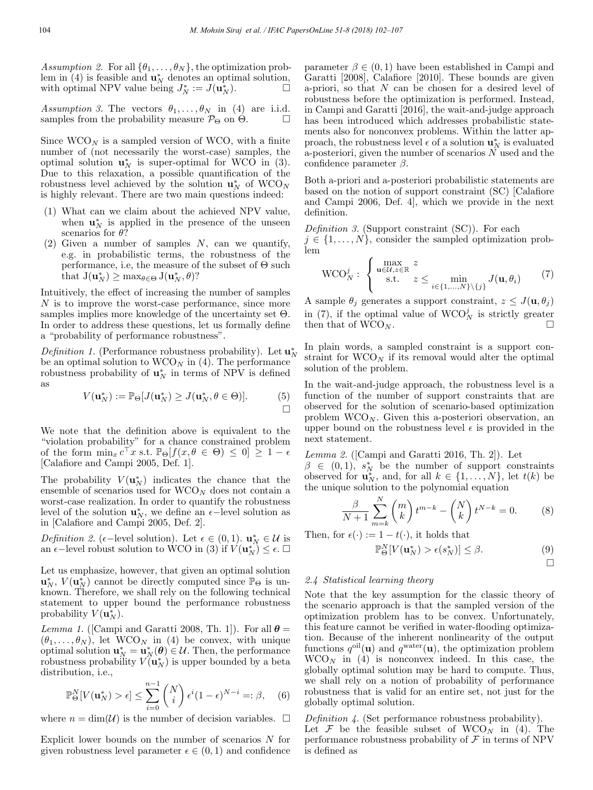Assumption 2. For all  $\{\theta_1, \dots, \theta_N\}$ , the optimization prob-<br>lem in (4) is feasible and  $\mathbf{u}_N^*$  denotes an optimal solution, with optimal NPV value being  $J_N^* := J(\mathbf{u}_N^*)$ .

Assumption 3. The vectors  $\theta_1, \ldots, \theta_N$  in (4) are i.i.d. samples from the probability measure  $\mathcal{P}_{\Theta}$  on  $\Theta$ .

Since  $WCO_N$  is a sampled version of WCO, with a finite number of (not necessarily the worst-case) samples, the optimal solution  $\mathbf{u}_N^*$  is super-optimal for WCO in (3). Due to this relaxation, a possible quantification of the robustness level achieved by the solution  $\mathbf{u}_N^*$  of  $\text{WCO}_N$ is highly relevant. There are two main questions indeed:

- (1) What can we claim about the achieved NPV value, when  $\mathbf{u}_N^*$  is applied in the presence of the unseen scenarios for  $\theta$ ?
- (2) Given a number of samples  $N$ , can we quantify, e.g. in probabilistic terms, the robustness of the performance, i.e, the measure of the subset of  $\Theta$  such that  $J(\mathbf{u}_N^*) \geq \max_{\theta \in \Theta} J(\mathbf{u}_N^*, \theta)$ ?

Intuitively, the effect of increasing the number of samples N is to improve the worst-case performance, since more samples implies more knowledge of the uncertainty set  $\Theta$ . In order to address these questions, let us formally define a "probability of performance robustness".

Definition 1. (Performance robustness probability). Let  $\mathbf{u}_N^*$ be an optimal solution to  $WCO_N$  in (4). The performance robustness probability of  $\mathbf{u}_N^*$  in terms of NPV is defined as

$$
V(\mathbf{u}_N^*) := \mathbb{P}_{\Theta}[J(\mathbf{u}_N^*) \ge J(\mathbf{u}_N^*, \theta \in \Theta)]. \tag{5}
$$

We note that the definition above is equivalent to the "violation probability" for a chance constrained problem of the form  $\min_x c^\top x$  s.t.  $\mathbb{P}_{\Theta}[f(x, \theta \in \Theta) \leq 0] \geq 1 - \epsilon$ [Calafiore and Campi 2005, Def. 1].

The probability  $V(\mathbf{u}_N^*)$  indicates the chance that the ensemble of scenarios used for  $WCO_N$  does not contain a worst-case realization. In order to quantify the robustness level of the solution  $\mathbf{u}_N^*$ , we define an  $\epsilon$ -level solution as in [Calafiore and Campi 2005, Def. 2].

Definition 2. ( $\epsilon$ -level solution). Let  $\epsilon \in (0,1)$ .  $\mathbf{u}_N^* \in \mathcal{U}$  is an  $\epsilon$ -level robust solution to WCO in (3) if  $V(\mathbf{u}_N^*) \leq \epsilon$ .

Let us emphasize, however, that given an optimal solution  $\mathbf{u}_N^*$ ,  $V(\mathbf{u}_N^*)$  cannot be directly computed since  $\mathbb{P}_{\Theta}$  is unknown. Therefore, we shall rely on the following technical statement to upper bound the performance robustness probability  $V(\mathbf{u}_N^*)$ .

Lemma 1. ([Campi and Garatti 2008, Th. 1]). For all  $\theta =$  $(\theta_1,\ldots,\theta_N)$ , let WCO<sub>N</sub> in (4) be convex, with unique optimal solution  $\mathbf{u}_N^* = \mathbf{u}_N^*(\boldsymbol{\theta}) \in \mathcal{U}$ . Then, the performance robustness probability  $V(\mathbf{u}_N^*)$  is upper bounded by a beta distribution, i.e.,

$$
\mathbb{P}_{\Theta}^{N}[V(\mathbf{u}_{N}^{*}) > \epsilon] \leq \sum_{i=0}^{n-1} {N \choose i} \epsilon^{i} (1-\epsilon)^{N-i} =: \beta, \quad (6)
$$

where  $n = \dim(\mathcal{U})$  is the number of decision variables.  $\Box$ 

Explicit lower bounds on the number of scenarios N for given robustness level parameter  $\epsilon \in (0,1)$  and confidence parameter  $\beta \in (0, 1)$  have been established in Campi and Garatti [2008], Calafiore [2010]. These bounds are given a-priori, so that  $N$  can be chosen for a desired level of robustness before the optimization is performed. Instead, in Campi and Garatti [2016], the wait-and-judge approach has been introduced which addresses probabilistic statements also for nonconvex problems. Within the latter approach, the robustness level  $\epsilon$  of a solution  $\mathbf{u}_N^*$  is evaluated a-posteriori, given the number of scenarios  $\tilde{N}$  used and the confidence parameter  $\beta$ .

Both a-priori and a-posteriori probabilistic statements are based on the notion of support constraint (SC) [Calafiore and Campi 2006, Def. 4], which we provide in the next definition.

Definition 3. (Support constraint (SC)). For each  $j \in \{1, \ldots, N\}$ , consider the sampled optimization problem

$$
\text{WCO}_N^j: \begin{cases} \max_{\mathbf{u}\in\mathcal{U},z\in\mathbb{R}} z\\ \text{s.t.} \quad z \leq \min_{i\in\{1,\dots,N\}\setminus\{j\}} J(\mathbf{u},\theta_i) \end{cases} \tag{7}
$$

A sample  $\theta_i$  generates a support constraint,  $z \leq J(\mathbf{u}, \theta_i)$ in (7), if the optimal value of  $WCO_N^j$  is strictly greater then that of  $WCO_N$ .

In plain words, a sampled constraint is a support constraint for  $WCO_N$  if its removal would alter the optimal solution of the problem.

In the wait-and-judge approach, the robustness level is a function of the number of support constraints that are observed for the solution of scenario-based optimization problem  $WCO_N$ . Given this a-posteriori observation, an upper bound on the robustness level  $\epsilon$  is provided in the next statement.

Lemma 2. ([Campi and Garatti 2016, Th. 2]). Let

 $\beta \in (0,1), s_N^*$  be the number of support constraints observed for  $\mathbf{u}_N^*$ , and, for all  $k \in \{1, ..., N\}$ , let  $t(k)$  be the unique solution to the polynomial equation

$$
\frac{\beta}{N+1} \sum_{m=k}^{N} \binom{m}{k} t^{m-k} - \binom{N}{k} t^{N-k} = 0.
$$
 (8)

Then, for  $\epsilon(\cdot) := 1 - t(\cdot)$ , it holds that

$$
\mathbb{P}_{\Theta}^{N}[V(\mathbf{u}_{N}^{*}) > \epsilon(s_{N}^{*})] \leq \beta.
$$
 (9)

$$
\qquad \qquad \Box
$$

### 2.4 Statistical learning theory

Note that the key assumption for the classic theory of the scenario approach is that the sampled version of the optimization problem has to be convex. Unfortunately, this feature cannot be verified in water-flooding optimization. Because of the inherent nonlinearity of the output functions  $q^{\text{oil}}(\mathbf{u})$  and  $q^{\text{water}}(\mathbf{u})$ , the optimization problem  $WCO_N$  in (4) is nonconvex indeed. In this case, the globally optimal solution may be hard to compute. Thus, we shall rely on a notion of probability of performance robustness that is valid for an entire set, not just for the globally optimal solution.

Definition 4. (Set performance robustness probability). Let  $\mathcal F$  be the feasible subset of WCO<sub>N</sub> in (4). The performance robustness probability of  $\mathcal F$  in terms of NPV is defined as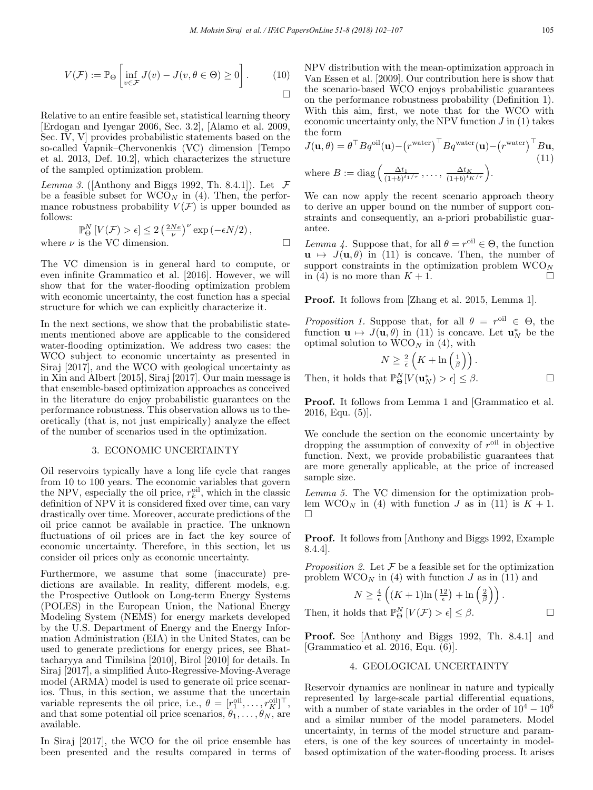$$
V(\mathcal{F}) := \mathbb{P}_{\Theta} \left[ \inf_{v \in \mathcal{F}} J(v) - J(v, \theta \in \Theta) \ge 0 \right].
$$
 (10)

Relative to an entire feasible set, statistical learning theory [Erdogan and Iyengar 2006, Sec. 3.2], [Alamo et al. 2009, Sec. IV, V] provides probabilistic statements based on the so-called Vapnik–Chervonenkis (VC) dimension [Tempo et al. 2013, Def. 10.2], which characterizes the structure of the sampled optimization problem.

Lemma 3. ([Anthony and Biggs 1992, Th. 8.4.1]). Let  $\mathcal F$ be a feasible subset for  $WCO_N$  in (4). Then, the performance robustness probability  $V(\mathcal{F})$  is upper bounded as follows:

$$
\mathbb{P}_{\Theta}^{N}[V(\mathcal{F}) > \epsilon] \le 2\left(\frac{2Ne}{\nu}\right)^{\nu} \exp\left(-\epsilon N/2\right),
$$
  
where  $\nu$  is the VC dimension.

The VC dimension is in general hard to compute, or even infinite Grammatico et al. [2016]. However, we will show that for the water-flooding optimization problem with economic uncertainty, the cost function has a special structure for which we can explicitly characterize it.

In the next sections, we show that the probabilistic statements mentioned above are applicable to the considered water-flooding optimization. We address two cases: the WCO subject to economic uncertainty as presented in Siraj [2017], and the WCO with geological uncertainty as in Xin and Albert [2015], Siraj [2017]. Our main message is that ensemble-based optimization approaches as conceived in the literature do enjoy probabilistic guarantees on the performance robustness. This observation allows us to theoretically (that is, not just empirically) analyze the effect of the number of scenarios used in the optimization.

## 3. ECONOMIC UNCERTAINTY

Oil reservoirs typically have a long life cycle that ranges from 10 to 100 years. The economic variables that govern the NPV, especially the oil price,  $r_k^{\text{oil}}$ , which in the classic definition of NPV it is considered fixed over time, can vary drastically over time. Moreover, accurate predictions of the oil price cannot be available in practice. The unknown fluctuations of oil prices are in fact the key source of economic uncertainty. Therefore, in this section, let us consider oil prices only as economic uncertainty.

Furthermore, we assume that some (inaccurate) predictions are available. In reality, different models, e.g. the Prospective Outlook on Long-term Energy Systems (POLES) in the European Union, the National Energy Modeling System (NEMS) for energy markets developed by the U.S. Department of Energy and the Energy Information Administration (EIA) in the United States, can be used to generate predictions for energy prices, see Bhattacharyya and Timilsina [2010], Birol [2010] for details. In Siraj [2017], a simplified Auto-Regressive-Moving-Average model (ARMA) model is used to generate oil price scenarios. Thus, in this section, we assume that the uncertain variable represents the oil price, i.e.,  $\theta = [r_1^{\text{oil}}, \dots, r_K^{\text{oil}}]^\top$ , and that some potential oil price scenarios,  $\theta_1, \ldots, \theta_N$ , are available.

In Siraj [2017], the WCO for the oil price ensemble has been presented and the results compared in terms of NPV distribution with the mean-optimization approach in Van Essen et al. [2009]. Our contribution here is show that the scenario-based WCO enjoys probabilistic guarantees on the performance robustness probability (Definition 1). With this aim, first, we note that for the WCO with economic uncertainty only, the NPV function  $J$  in  $(1)$  takes the form

$$
J(\mathbf{u}, \theta) = \theta^{\top} B q^{\text{oil}}(\mathbf{u}) - (r^{\text{water}})^{\top} B q^{\text{water}}(\mathbf{u}) - (r^{\text{water}})^{\top} B \mathbf{u},
$$
  
(11)  
where  $B := \text{diag}\left(\frac{\Delta t_1}{(1+b)^{t_1/\tau}}, \dots, \frac{\Delta t_K}{(1+b)^{t_K/\tau}}\right).$ 

We can now apply the recent scenario approach theory to derive an upper bound on the number of support constraints and consequently, an a-priori probabilistic guarantee.

Lemma 4. Suppose that, for all  $\theta = r^{\text{oil}} \in \Theta$ , the function  $u \mapsto J(u, \theta)$  in (11) is concave. Then, the number of support constraints in the optimization problem  $WCO_N$ in (4) is no more than  $K + 1$ .

Proof. It follows from [Zhang et al. 2015, Lemma 1].

Proposition 1. Suppose that, for all  $\theta = r^{\text{oil}} \in \Theta$ , the function  $\mathbf{u} \mapsto J(\mathbf{u}, \theta)$  in (11) is concave. Let  $\mathbf{u}_N^*$  be the optimal solution to  $WCO_N$  in (4), with

$$
N \geq \frac{2}{\epsilon} \left( K + \ln \left( \frac{1}{\beta} \right) \right).
$$

Then, it holds that  $\mathbb{P}_{\Theta}^{N}[V(\mathbf{u}_{N}^{*}) > \epsilon] \leq \beta$ .

Proof. It follows from Lemma 1 and [Grammatico et al. 2016, Equ. (5)].

We conclude the section on the economic uncertainty by dropping the assumption of convexity of  $r^{oil}$  in objective function. Next, we provide probabilistic guarantees that are more generally applicable, at the price of increased sample size.

Lemma 5. The VC dimension for the optimization problem WCO<sub>N</sub> in (4) with function J as in (11) is  $K + 1$ .  $\Box$ 

Proof. It follows from [Anthony and Biggs 1992, Example 8.4.4].

*Proposition 2.* Let  $\mathcal F$  be a feasible set for the optimization problem  $WCO_N$  in (4) with function J as in (11) and

$$
N \geq \frac{4}{\epsilon} \left( (K+1) \ln \left( \frac{12}{\epsilon} \right) + \ln \left( \frac{2}{\beta} \right) \right).
$$

Then, it holds that  $\mathbb{P}_{\Theta}^{N}[V(\mathcal{F}) > \epsilon] \leq \beta$ .

Proof. See [Anthony and Biggs 1992, Th. 8.4.1] and [Grammatico et al. 2016, Equ. (6)].

## 4. GEOLOGICAL UNCERTAINTY

Reservoir dynamics are nonlinear in nature and typically represented by large-scale partial differential equations, with a number of state variables in the order of  $10^4 - 10^6$ and a similar number of the model parameters. Model uncertainty, in terms of the model structure and parameters, is one of the key sources of uncertainty in modelbased optimization of the water-flooding process. It arises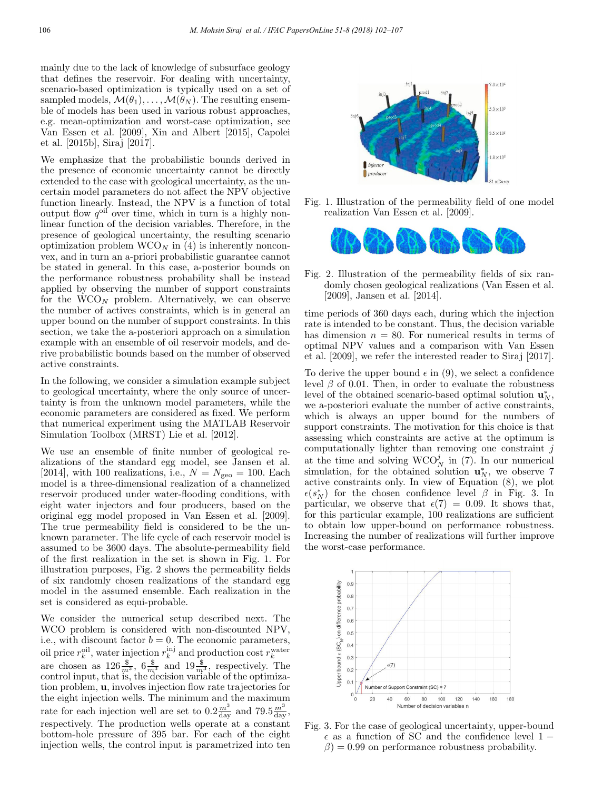mainly due to the lack of knowledge of subsurface geology that defines the reservoir. For dealing with uncertainty, scenario-based optimization is typically used on a set of sampled models,  $\mathcal{M}(\theta_1), \ldots, \mathcal{M}(\theta_N)$ . The resulting ensemble of models has been used in various robust approaches, e.g. mean-optimization and worst-case optimization, see Van Essen et al. [2009], Xin and Albert [2015], Capolei et al. [2015b], Siraj [2017].

We emphasize that the probabilistic bounds derived in the presence of economic uncertainty cannot be directly extended to the case with geological uncertainty, as the uncertain model parameters do not affect the NPV objective function linearly. Instead, the NPV is a function of total output flow  $q^{oil}$  over time, which in turn is a highly nonlinear function of the decision variables. Therefore, in the presence of geological uncertainty, the resulting scenario optimization problem  $WCO_N$  in (4) is inherently nonconvex, and in turn an a-priori probabilistic guarantee cannot be stated in general. In this case, a-posterior bounds on the performance robustness probability shall be instead applied by observing the number of support constraints for the  $WCO_N$  problem. Alternatively, we can observe the number of actives constraints, which is in general an upper bound on the number of support constraints. In this section, we take the a-posteriori approach on a simulation example with an ensemble of oil reservoir models, and derive probabilistic bounds based on the number of observed active constraints.

In the following, we consider a simulation example subject to geological uncertainty, where the only source of uncertainty is from the unknown model parameters, while the economic parameters are considered as fixed. We perform that numerical experiment using the MATLAB Reservoir Simulation Toolbox (MRST) Lie et al. [2012].

We use an ensemble of finite number of geological realizations of the standard egg model, see Jansen et al. [2014], with 100 realizations, i.e.,  $N = N_{\text{geo}} = 100$ . Each model is a three-dimensional realization of a channelized reservoir produced under water-flooding conditions, with eight water injectors and four producers, based on the original egg model proposed in Van Essen et al. [2009]. The true permeability field is considered to be the unknown parameter. The life cycle of each reservoir model is assumed to be 3600 days. The absolute-permeability field of the first realization in the set is shown in Fig. 1. For illustration purposes, Fig. 2 shows the permeability fields of six randomly chosen realizations of the standard egg model in the assumed ensemble. Each realization in the set is considered as equi-probable.

We consider the numerical setup described next. The WCO problem is considered with non-discounted NPV, i.e., with discount factor  $b = 0$ . The economic parameters, oil price  $r_k^{\text{oil}}$ , water injection  $r_k^{\text{ini}}$  and production cost  $r_k^{\text{water}}$ <br>are chosen as  $126 \frac{\$}{m^3}$ ,  $6 \frac{\$}{m^3}$  and  $19 \frac{\$}{m^3}$ , respectively. The control input, that is, the decision variable of the optimization problem, u, involves injection flow rate trajectories for the eight injection wells. The minimum and the maximum rate for each injection well are set to  $0.2 \frac{m^3}{\text{day}}$  and  $79.5 \frac{m^3}{\text{day}}$ , respectively. The production wells operate at a constant bottom-hole pressure of 395 bar. For each of the eight injection wells, the control input is parametrized into ten



Fig. 1. Illustration of the permeability field of one model realization Van Essen et al. [2009].



Fig. 2. Illustration of the permeability fields of six randomly chosen geological realizations (Van Essen et al. [2009], Jansen et al. [2014].

time periods of 360 days each, during which the injection rate is intended to be constant. Thus, the decision variable has dimension  $n = 80$ . For numerical results in terms of optimal NPV values and a comparison with Van Essen et al. [2009], we refer the interested reader to Siraj [2017].

To derive the upper bound  $\epsilon$  in (9), we select a confidence level  $β$  of 0.01. Then, in order to evaluate the robustness level of the obtained scenario-based optimal solution  $\mathbf{u}_N^*$ , we a-posteriori evaluate the number of active constraints, which is always an upper bound for the numbers of support constraints. The motivation for this choice is that assessing which constraints are active at the optimum is computationally lighter than removing one constraint  $j$ at the time and solving  $WCO_N^j$  in (7). In our numerical simulation, for the obtained solution  $\mathbf{u}_N^*$ , we observe 7 active constraints only. In view of Equation (8), we plot  $\epsilon(s_N^*)$  for the chosen confidence level  $\beta$  in Fig. 3. In particular, we observe that  $\epsilon(7) = 0.09$ . It shows that, for this particular example, 100 realizations are sufficient to obtain low upper-bound on performance robustness. Increasing the number of realizations will further improve the worst-case performance.



Fig. 3. For the case of geological uncertainty, upper-bound  $\epsilon$  as a function of SC and the confidence level 1 −  $\beta$ ) = 0.99 on performance robustness probability.